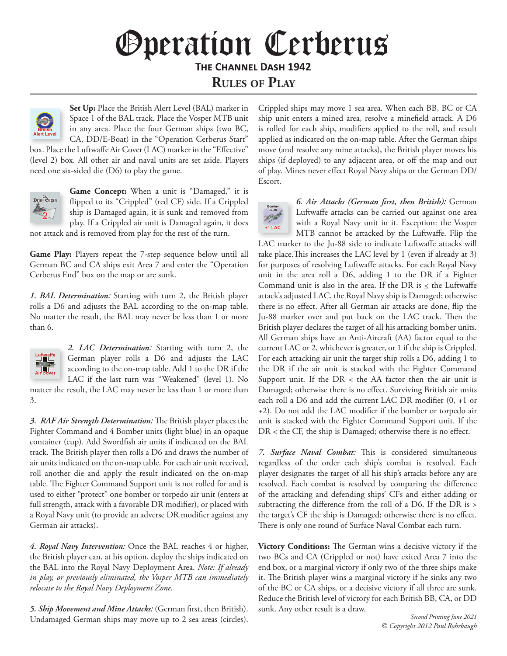## *Channel Dash Variant Rules* Operation Cerberus **The Channel Dash 1942**

**Rules of Play**



**Set Up:** Place the British Alert Level (BAL) marker in Space 1 of the BAL track. Place the Vosper MTB unit in any area. Place the four German ships (two BC, CA, DD/E-Boat) in the "Operation Cerberus Start"

box. Place the Luftwaffe Air Cover (LAC) marker in the "Effective" (level 2) box. All other air and naval units are set aside. Players need one six-sided die (D6) to play the game.



Game Concept: When a unit is "Damaged," it is flipped to its "Crippled" (red CF) side. If a Crippled ship is Damaged again, it is sunk and removed from play. If a Crippled air unit is Damaged again, it does

not attack and is removed from play for the rest of the turn.

**Game Play:** Players repeat the 7-step sequence below until all German BC and CA ships exit Area 7 and enter the "Operation Cerberus End" box on the map or are sunk.

*1. BAL Determination:* Starting with turn 2, the British player rolls a D6 and adjusts the BAL according to the on-map table. No matter the result, the BAL may never be less than 1 or more than 6.



3.

*2. LAC Determination:* Starting with turn 2, the German player rolls a D6 and adjusts the LAC according to the on-map table. Add 1 to the DR if the LAC if the last turn was "Weakened" (level 1). No matter the result, the LAC may never be less than 1 or more than

*3. RAF Air Strength Determination:* The British player places the Fighter Command and 4 Bomber units (light blue) in an opaque container (cup). Add Swordfish air units if indicated on the BAL track. The British player then rolls a D6 and draws the number of air units indicated on the on-map table. For each air unit received, roll another die and apply the result indicated on the on-map table. The Fighter Command Support unit is not rolled for and is used to either "protect" one bomber or torpedo air unit (enters at full strength, attack with a favorable DR modifier), or placed with a Royal Navy unit (to provide an adverse DR modifier against any German air attacks).

*4. Royal Navy Intervention:* Once the BAL reaches 4 or higher, the British player can, at his option, deploy the ships indicated on the BAL into the Royal Navy Deployment Area. *Note: If already in play, or previously eliminated, the Vosper MTB can immediately relocate to the Royal Navy Deployment Zone.* 

*5. Ship Movement and Mine Attacks:* (German first, then British). Undamaged German ships may move up to 2 sea areas (circles). Crippled ships may move 1 sea area. When each BB, BC or CA ship unit enters a mined area, resolve a minefield attack. A D6 is rolled for each ship, modifiers applied to the roll, and result applied as indicated on the on-map table. After the German ships move (and resolve any mine attacks), the British player moves his ships (if deployed) to any adjacent area, or off the map and out of play. Mines never effect Royal Navy ships or the German DD/ Escort.



*6. Air Attacks (German first, then British):* German Luftwaffe attacks can be carried out against one area with a Royal Navy unit in it. Exception: the Vosper MTB cannot be attacked by the Luftwaffe. Flip the

LAC marker to the Ju-88 side to indicate Luftwaffe attacks will take place.This increases the LAC level by 1 (even if already at 3) for purposes of resolving Luftwaffe attacks. For each Royal Navy unit in the area roll a D6, adding 1 to the DR if a Fighter Command unit is also in the area. If the DR is  $\leq$  the Luftwaffe attack's adjusted LAC, the Royal Navy ship is Damaged; otherwise there is no effect. After all German air attacks are done, flip the Ju-88 marker over and put back on the LAC track. Then the British player declares the target of all his attacking bomber units. All German ships have an Anti-Aircraft (AA) factor equal to the current LAC or 2, whichever is greater, or 1 if the ship is Crippled. For each attacking air unit the target ship rolls a D6, adding 1 to the DR if the air unit is stacked with the Fighter Command Support unit. If the  $DR <$  the AA factor then the air unit is Damaged; otherwise there is no effect. Surviving British air units each roll a D6 and add the current LAC DR modifier (0, +1 or +2). Do not add the LAC modifier if the bomber or torpedo air unit is stacked with the Fighter Command Support unit. If the DR < the CF, the ship is Damaged; otherwise there is no effect.

*7. Surface Naval Combat:* This is considered simultaneous regardless of the order each ship's combat is resolved. Each player designates the target of all his ship's attacks before any are resolved. Each combat is resolved by comparing the difference of the attacking and defending ships' CFs and either adding or subtracting the difference from the roll of a D6. If the DR is > the target's CF the ship is Damaged; otherwise there is no effect. There is only one round of Surface Naval Combat each turn.

**Victory Conditions:** The German wins a decisive victory if the two BCs and CA (Crippled or not) have exited Area 7 into the end box, or a marginal victory if only two of the three ships make it. The British player wins a marginal victory if he sinks any two of the BC or CA ships, or a decisive victory if all three are sunk. Reduce the British level of victory for each British BB, CA, or DD sunk. Any other result is a draw.